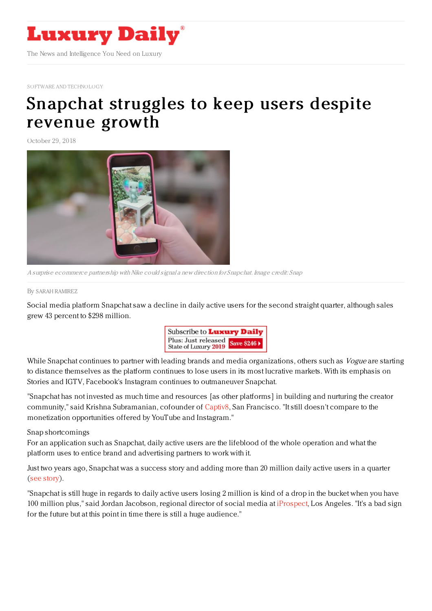

SOETWARE AND [TECHNOLOGY](https://www.luxurydaily.com/category/sectors/software-and-technology-industry-sectors/)

## [Snapchat](https://www.luxurydaily.com/snapchat-struggles-to-keep-users-despite-revenue-growth/) struggles to keep users despite revenue growth

October 29, 2018



A surprise ecommerce partnership with Nike could signal a new direction for Snapchat. Image credit: Snap

## By SARAH [RAMIREZ](file:///author/sarah-ramirez)

Social media platform Snapchat saw a decline in daily active users for the second straight quarter, although sales grew 43 percent to \$298 million.



While Snapchat continues to partner with leading brands and media organizations, others such as Vogue are starting to distance themselves as the platform continues to lose users in its most lucrative markets. With its emphasis on Stories and IGTV, Facebook's Instagram continues to outmaneuver Snapchat.

"Snapchat has not invested as much time and resources [as other platforms] in building and nurturing the creator community," said Krishna Subramanian, cofounder of [Captiv8](http://www.captiv8.io/), San Francisco. "It still doesn't compare to the monetization opportunities offered by YouTube and Instagram."

## Snap shortcomings

For an application such as Snapchat, daily active users are the lifeblood of the whole operation and what the platform uses to entice brand and advertising partners to work with it.

Just two years ago, Snapchat was a success story and adding more than 20 million daily active users in a quarter (see [story](https://www.luxurydaily.com/snapchats-struggles-continue-with-3m-lost-users-in-q2/)).

"Snapchat is still huge in regards to daily active users losing 2 million is kind of a drop in the bucket when you have 100 million plus," said Jordan Jacobson, regional director of social media at [iProspect](https://www.iprospect.com/en/us/), Los Angeles. "It's a bad sign for the future but at this point in time there is still a huge audience."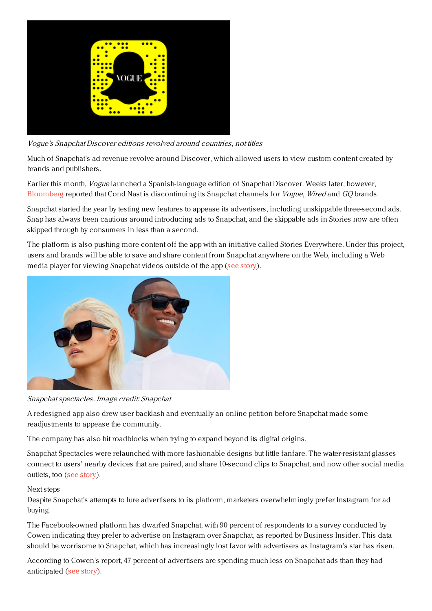

Vogue's Snapchat Discover editions revolved around countries, not titles

Much of Snapchat's ad revenue revolve around Discover, which allowed users to view custom content created by brands and publishers.

Earlier this month, *Vogue* launched a Spanish-language edition of Snapchat Discover. Weeks later, however, [Bloomberg](https://www.bloomberg.com/news/articles/2018-10-25/snapchat-lost-users-in-quarter-and-says-decline-will-continue) reported that Cond Nast is discontinuing its Snapchat channels for *Vogue*, Wired and GQ brands.

Snapchat started the year by testing new features to appease its advertisers, including unskippable three-second ads. Snap has always been cautious around introducing ads to Snapchat, and the skippable ads in Stories now are often skipped through by consumers in less than a second.

The platform is also pushing more content off the app with an initiative called Stories Everywhere. Under this project, users and brands will be able to save and share content from Snapchat anywhere on the Web, including a Web media player for viewing Snapchat videos outside of the app (see [story](https://www.luxurydaily.com/snapchats-unskippable-ads-off-app-content-bid-to-lure-advertisers-from-instagram/)).



Snapchatspectacles. Image credit: Snapchat

A redesigned app also drew user backlash and eventually an online petition before Snapchat made some readjustments to appease the community.

The company has also hit roadblocks when trying to expand beyond its digital origins.

Snapchat Spectacles were relaunched with more fashionable designs but little fanfare. The water-resistant glasses connect to users' nearby devices that are paired, and share 10-second clips to Snapchat, and now other social media outlets, too (see [story](https://www.luxurydaily.com/snapchat-spectacles-reborn-with-new-fashionable-designs/)).

## Next steps

Despite Snapchat's attempts to lure advertisers to its platform, marketers overwhelmingly prefer Instagram for ad buying.

The Facebook-owned platform has dwarfed Snapchat, with 90 percent of respondents to a survey conducted by Cowen indicating they prefer to advertise on Instagram over Snapchat, as reported by Business Insider. This data should be worrisome to Snapchat, which has increasingly lost favor with advertisers as Instagram's star has risen.

According to Cowen's report, 47 percent of advertisers are spending much less on Snapchat ads than they had anticipated (see [story](https://www.luxurydaily.com/90pc-of-advertisers-prefer-instagram-over-snapchat/)).